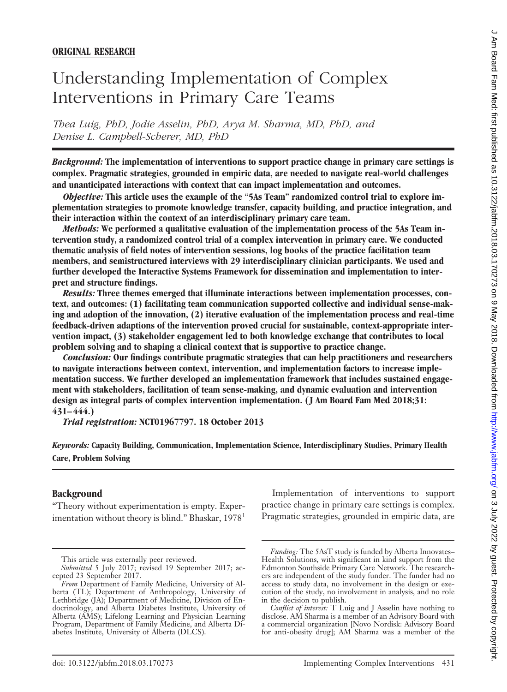# Understanding Implementation of Complex Interventions in Primary Care Teams

*Thea Luig, PhD, Jodie Asselin, PhD, Arya M. Sharma, MD, PhD, and Denise L. Campbell-Scherer, MD, PhD*

*Background:* **The implementation of interventions to support practice change in primary care settings is complex. Pragmatic strategies, grounded in empiric data, are needed to navigate real-world challenges and unanticipated interactions with context that can impact implementation and outcomes.**

*Objective:* **This article uses the example of the "5As Team" randomized control trial to explore implementation strategies to promote knowledge transfer, capacity building, and practice integration, and their interaction within the context of an interdisciplinary primary care team.**

*Methods:* **We performed a qualitative evaluation of the implementation process of the 5As Team intervention study, a randomized control trial of a complex intervention in primary care. We conducted thematic analysis of field notes of intervention sessions, log books of the practice facilitation team members, and semistructured interviews with 29 interdisciplinary clinician participants. We used and further developed the Interactive Systems Framework for dissemination and implementation to interpret and structure findings.**

*Results:* **Three themes emerged that illuminate interactions between implementation processes, context, and outcomes: (1) facilitating team communication supported collective and individual sense-making and adoption of the innovation, (2) iterative evaluation of the implementation process and real-time feedback-driven adaptions of the intervention proved crucial for sustainable, context-appropriate intervention impact, (3) stakeholder engagement led to both knowledge exchange that contributes to local problem solving and to shaping a clinical context that is supportive to practice change.**

*Conclusion:* **Our findings contribute pragmatic strategies that can help practitioners and researchers to navigate interactions between context, intervention, and implementation factors to increase implementation success. We further developed an implementation framework that includes sustained engagement with stakeholders, facilitation of team sense-making, and dynamic evaluation and intervention design as integral parts of complex intervention implementation. (J Am Board Fam Med 2018;31: 431–444.)**

*Trial registration:* **NCT01967797. 18 October 2013**

*Keywords:* **Capacity Building, Communication, Implementation Science, Interdisciplinary Studies, Primary Health Care, Problem Solving**

#### **Background**

"Theory without experimentation is empty. Experimentation without theory is blind." Bhaskar,  $1978<sup>1</sup>$ 

Implementation of interventions to support practice change in primary care settings is complex. Pragmatic strategies, grounded in empiric data, are

This article was externally peer reviewed.

*Submitted* 5 July 2017; revised 19 September 2017; accepted 23 September 2017.

*From* Department of Family Medicine, University of Alberta (TL); Department of Anthropology, University of Lethbridge (JA); Department of Medicine, Division of Endocrinology, and Alberta Diabetes Institute, University of Alberta (AMS); Lifelong Learning and Physician Learning Program, Department of Family Medicine, and Alberta Diabetes Institute, University of Alberta (DLCS).

*Funding:* The 5AsT study is funded by Alberta Innovates– Health Solutions, with significant in kind support from the Edmonton Southside Primary Care Network. The researchers are independent of the study funder. The funder had no access to study data, no involvement in the design or execution of the study, no involvement in analysis, and no role in the decision to publish.

*Conflict of interest:* T Luig and J Asselin have nothing to disclose. AM Sharma is a member of an Advisory Board with a commercial organization [Novo Nordisk: Advisory Board for anti-obesity drug]; AM Sharma was a member of the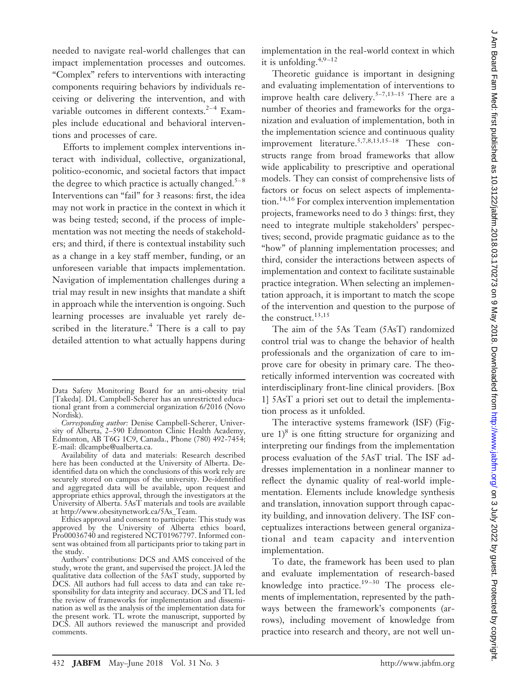needed to navigate real-world challenges that can impact implementation processes and outcomes. "Complex" refers to interventions with interacting components requiring behaviors by individuals receiving or delivering the intervention, and with variable outcomes in different contexts.<sup>2–4</sup> Examples include educational and behavioral interventions and processes of care.

Efforts to implement complex interventions interact with individual, collective, organizational, politico-economic, and societal factors that impact the degree to which practice is actually changed.<sup>5–8</sup> Interventions can "fail" for 3 reasons: first, the idea may not work in practice in the context in which it was being tested; second, if the process of implementation was not meeting the needs of stakeholders; and third, if there is contextual instability such as a change in a key staff member, funding, or an unforeseen variable that impacts implementation. Navigation of implementation challenges during a trial may result in new insights that mandate a shift in approach while the intervention is ongoing. Such learning processes are invaluable yet rarely described in the literature. $4$  There is a call to pay detailed attention to what actually happens during implementation in the real-world context in which it is unfolding. $4,9-12$ 

Theoretic guidance is important in designing and evaluating implementation of interventions to improve health care delivery.5–7,13–15 There are a number of theories and frameworks for the organization and evaluation of implementation, both in the implementation science and continuous quality improvement literature.<sup>5,7,8,13,15–18</sup> These constructs range from broad frameworks that allow wide applicability to prescriptive and operational models. They can consist of comprehensive lists of factors or focus on select aspects of implementation.<sup>14,16</sup> For complex intervention implementation projects, frameworks need to do 3 things: first, they need to integrate multiple stakeholders' perspectives; second, provide pragmatic guidance as to the "how" of planning implementation processes; and third, consider the interactions between aspects of implementation and context to facilitate sustainable practice integration. When selecting an implementation approach, it is important to match the scope of the intervention and question to the purpose of the construct.<sup>13,15</sup>

The aim of the 5As Team (5AsT) randomized control trial was to change the behavior of health professionals and the organization of care to improve care for obesity in primary care. The theoretically informed intervention was cocreated with interdisciplinary front-line clinical providers. [Box 1] 5AsT a priori set out to detail the implementation process as it unfolded.

The interactive systems framework (ISF) (Figure  $1)^8$  is one fitting structure for organizing and interpreting our findings from the implementation process evaluation of the 5AsT trial. The ISF addresses implementation in a nonlinear manner to reflect the dynamic quality of real-world implementation. Elements include knowledge synthesis and translation, innovation support through capacity building, and innovation delivery. The ISF conceptualizes interactions between general organizational and team capacity and intervention implementation.

To date, the framework has been used to plan and evaluate implementation of research-based knowledge into practice. $19-30$  The process elements of implementation, represented by the pathways between the framework's components (arrows), including movement of knowledge from practice into research and theory, are not well un-

Data Safety Monitoring Board for an anti-obesity trial [Takeda]. DL Campbell-Scherer has an unrestricted educational grant from a commercial organization 6/2016 (Novo Nordisk).

*Corresponding author:* Denise Campbell-Scherer, University of Alberta, 2–590 Edmonton Clinic Health Academy, Edmonton, AB T6G 1C9, Canada., Phone (780) 492-7454; E-mail: dlcampbe@ualberta.ca.

Availability of data and materials: Research described here has been conducted at the University of Alberta. Deidentified data on which the conclusions of this work rely are securely stored on campus of the university. De-identified and aggregated data will be available, upon request and appropriate ethics approval, through the investigators at the University of Alberta. 5AsT materials and tools are available at http://www.obesitynetwork.ca/5As\_Team.

Ethics approval and consent to participate: This study was approved by the University of Alberta ethics board, Pro00036740 and registered NCT01967797. Informed consent was obtained from all participants prior to taking part in the study.

Authors' contributions: DCS and AMS conceived of the study, wrote the grant, and supervised the project. JA led the qualitative data collection of the 5AsT study, supported by DCS. All authors had full access to data and can take responsibility for data integrity and accuracy. DCS and TL led the review of frameworks for implementation and dissemination as well as the analysis of the implementation data for the present work. TL wrote the manuscript, supported by DCS. All authors reviewed the manuscript and provided comments.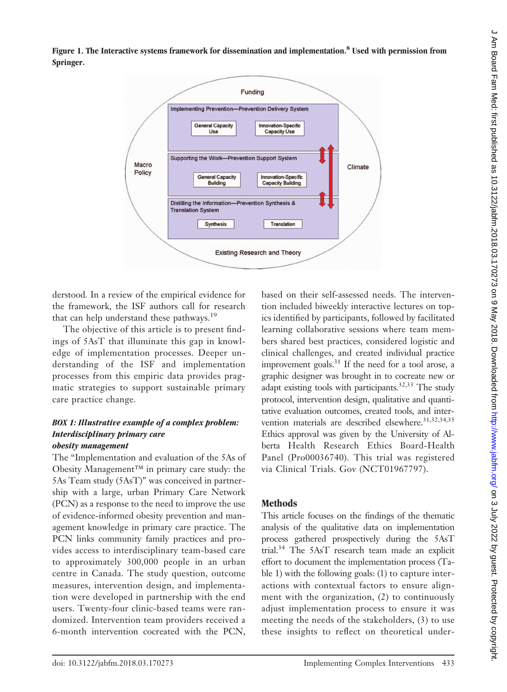**Figure 1. The Interactive systems framework for dissemination and implementation.8 Used with permission from Springer.**



derstood*.* In a review of the empirical evidence for the framework, the ISF authors call for research that can help understand these pathways.<sup>19</sup>

The objective of this article is to present findings of 5AsT that illuminate this gap in knowledge of implementation processes. Deeper understanding of the ISF and implementation processes from this empiric data provides pragmatic strategies to support sustainable primary care practice change*.*

#### *BOX 1: Illustrative example of a complex problem: Interdisciplinary primary care obesity management*

The "Implementation and evaluation of the 5As of Obesity Management™ in primary care study: the 5As Team study (5AsT)" was conceived in partnership with a large, urban Primary Care Network (PCN) as a response to the need to improve the use of evidence-informed obesity prevention and management knowledge in primary care practice. The PCN links community family practices and provides access to interdisciplinary team-based care to approximately 300,000 people in an urban centre in Canada. The study question, outcome measures, intervention design, and implementation were developed in partnership with the end users. Twenty-four clinic-based teams were randomized. Intervention team providers received a 6-month intervention cocreated with the PCN,

based on their self-assessed needs. The intervention included biweekly interactive lectures on topics identified by participants, followed by facilitated learning collaborative sessions where team members shared best practices, considered logistic and clinical challenges, and created individual practice improvement goals.31 If the need for a tool arose, a graphic designer was brought in to cocreate new or adapt existing tools with participants*.* 32,33 The study protocol, intervention design, qualitative and quantitative evaluation outcomes, created tools, and intervention materials are described elsewhere.<sup>31,32,34,35</sup> Ethics approval was given by the University of Alberta Health Research Ethics Board-Health Panel (Pro00036740). This trial was registered via Clinical Trials. Gov (NCT01967797).

## **Methods**

This article focuses on the findings of the thematic analysis of the qualitative data on implementation process gathered prospectively during the 5AsT trial.34 The 5AsT research team made an explicit effort to document the implementation process (Table 1) with the following goals: (1) to capture interactions with contextual factors to ensure alignment with the organization, (2) to continuously adjust implementation process to ensure it was meeting the needs of the stakeholders, (3) to use these insights to reflect on theoretical under-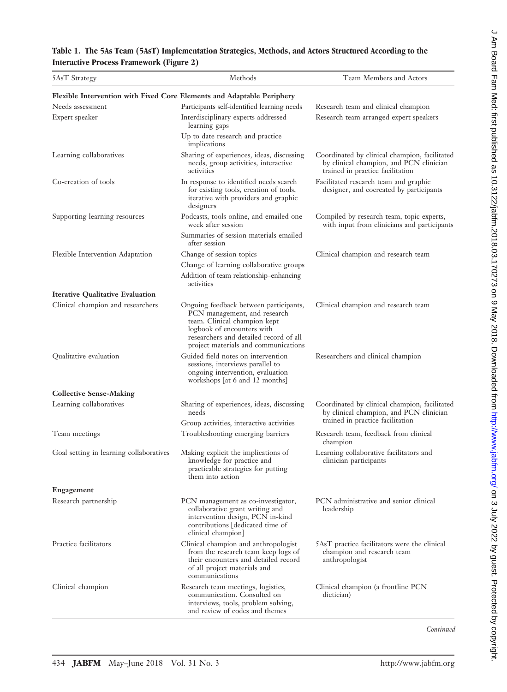|                                                 | Table 1. The 5As Team (5AsT) Implementation Strategies, Methods, and Actors Structured According to the |  |  |  |
|-------------------------------------------------|---------------------------------------------------------------------------------------------------------|--|--|--|
| <b>Interactive Process Framework (Figure 2)</b> |                                                                                                         |  |  |  |

| 5AsT Strategy                                                          | Methods                                                                                                                                                                                                                | Team Members and Actors                                                                                                      |  |
|------------------------------------------------------------------------|------------------------------------------------------------------------------------------------------------------------------------------------------------------------------------------------------------------------|------------------------------------------------------------------------------------------------------------------------------|--|
| Flexible Intervention with Fixed Core Elements and Adaptable Periphery |                                                                                                                                                                                                                        |                                                                                                                              |  |
| Needs assessment                                                       | Participants self-identified learning needs                                                                                                                                                                            | Research team and clinical champion                                                                                          |  |
| Expert speaker                                                         | Interdisciplinary experts addressed<br>learning gaps                                                                                                                                                                   | Research team arranged expert speakers                                                                                       |  |
|                                                                        | Up to date research and practice<br>implications                                                                                                                                                                       |                                                                                                                              |  |
| Learning collaboratives                                                | Sharing of experiences, ideas, discussing<br>needs, group activities, interactive<br>activities                                                                                                                        | Coordinated by clinical champion, facilitated<br>by clinical champion, and PCN clinician<br>trained in practice facilitation |  |
| Co-creation of tools                                                   | In response to identified needs search<br>for existing tools, creation of tools,<br>iterative with providers and graphic<br>designers                                                                                  | Facilitated research team and graphic<br>designer, and cocreated by participants                                             |  |
| Supporting learning resources                                          | Podcasts, tools online, and emailed one<br>week after session                                                                                                                                                          | Compiled by research team, topic experts,<br>with input from clinicians and participants                                     |  |
|                                                                        | Summaries of session materials emailed<br>after session                                                                                                                                                                |                                                                                                                              |  |
| Flexible Intervention Adaptation                                       | Change of session topics                                                                                                                                                                                               | Clinical champion and research team                                                                                          |  |
|                                                                        | Change of learning collaborative groups                                                                                                                                                                                |                                                                                                                              |  |
|                                                                        | Addition of team relationship-enhancing<br>activities                                                                                                                                                                  |                                                                                                                              |  |
| <b>Iterative Qualitative Evaluation</b>                                |                                                                                                                                                                                                                        |                                                                                                                              |  |
| Clinical champion and researchers                                      | Ongoing feedback between participants,<br>PCN management, and research<br>team. Clinical champion kept<br>logbook of encounters with<br>researchers and detailed record of all<br>project materials and communications | Clinical champion and research team                                                                                          |  |
| Qualitative evaluation                                                 | Guided field notes on intervention<br>sessions, interviews parallel to<br>ongoing intervention, evaluation<br>workshops [at 6 and 12 months]                                                                           | Researchers and clinical champion                                                                                            |  |
| <b>Collective Sense-Making</b>                                         |                                                                                                                                                                                                                        |                                                                                                                              |  |
| Learning collaboratives                                                | Sharing of experiences, ideas, discussing<br>needs                                                                                                                                                                     | Coordinated by clinical champion, facilitated<br>by clinical champion, and PCN clinician                                     |  |
|                                                                        | Group activities, interactive activities                                                                                                                                                                               | trained in practice facilitation                                                                                             |  |
| Team meetings                                                          | Troubleshooting emerging barriers                                                                                                                                                                                      | Research team, feedback from clinical<br>champion                                                                            |  |
| Goal setting in learning collaboratives                                | Making explicit the implications of<br>knowledge for practice and<br>practicable strategies for putting<br>them into action                                                                                            | Learning collaborative facilitators and<br>clinician participants                                                            |  |
| Engagement                                                             |                                                                                                                                                                                                                        |                                                                                                                              |  |
| Research partnership                                                   | PCN management as co-investigator,<br>collaborative grant writing and<br>intervention design, PCN in-kind<br>contributions [dedicated time of<br>clinical champion]                                                    | PCN administrative and senior clinical<br>leadership                                                                         |  |
| Practice facilitators                                                  | Clinical champion and anthropologist<br>from the research team keep logs of<br>their encounters and detailed record<br>of all project materials and<br>communications                                                  | 5AsT practice facilitators were the clinical<br>champion and research team<br>anthropologist                                 |  |
| Clinical champion                                                      | Research team meetings, logistics,<br>communication. Consulted on<br>interviews, tools, problem solving,<br>and review of codes and themes                                                                             | Clinical champion (a frontline PCN<br>dietician)                                                                             |  |

*Continued*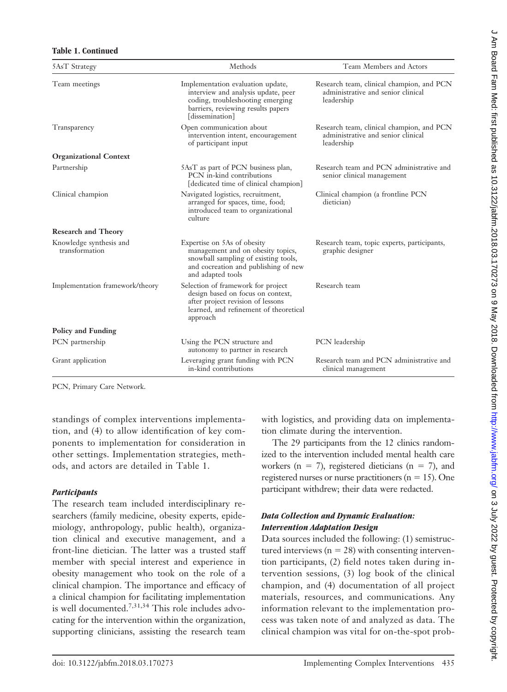#### **Table 1. Continued**

| 5AsT Strategy                             | Methods                                                                                                                                                               | Team Members and Actors                                                                       |
|-------------------------------------------|-----------------------------------------------------------------------------------------------------------------------------------------------------------------------|-----------------------------------------------------------------------------------------------|
| Team meetings                             | Implementation evaluation update,<br>interview and analysis update, peer<br>coding, troubleshooting emerging<br>barriers, reviewing results papers<br>[dissemination] | Research team, clinical champion, and PCN<br>administrative and senior clinical<br>leadership |
| Transparency                              | Open communication about<br>intervention intent, encouragement<br>of participant input                                                                                | Research team, clinical champion, and PCN<br>administrative and senior clinical<br>leadership |
| <b>Organizational Context</b>             |                                                                                                                                                                       |                                                                                               |
| Partnership                               | 5AsT as part of PCN business plan,<br>PCN in-kind contributions<br>[dedicated time of clinical champion]                                                              | Research team and PCN administrative and<br>senior clinical management                        |
| Clinical champion                         | Navigated logistics, recruitment,<br>arranged for spaces, time, food;<br>introduced team to organizational<br>culture                                                 | Clinical champion (a frontline PCN<br>dietician)                                              |
| <b>Research and Theory</b>                |                                                                                                                                                                       |                                                                                               |
| Knowledge synthesis and<br>transformation | Expertise on 5As of obesity<br>management and on obesity topics,<br>snowball sampling of existing tools,<br>and cocreation and publishing of new<br>and adapted tools | Research team, topic experts, participants,<br>graphic designer                               |
| Implementation framework/theory           | Selection of framework for project<br>design based on focus on context,<br>after project revision of lessons<br>learned, and refinement of theoretical<br>approach    | Research team                                                                                 |
| Policy and Funding                        |                                                                                                                                                                       |                                                                                               |
| PCN partnership                           | Using the PCN structure and<br>autonomy to partner in research                                                                                                        | PCN leadership                                                                                |
| Grant application                         | Leveraging grant funding with PCN<br>in-kind contributions                                                                                                            | Research team and PCN administrative and<br>clinical management                               |

PCN, Primary Care Network.

standings of complex interventions implementation, and (4) to allow identification of key components to implementation for consideration in other settings. Implementation strategies, methods, and actors are detailed in Table 1.

#### *Participants*

The research team included interdisciplinary researchers (family medicine, obesity experts, epidemiology, anthropology, public health), organization clinical and executive management, and a front-line dietician. The latter was a trusted staff member with special interest and experience in obesity management who took on the role of a clinical champion. The importance and efficacy of a clinical champion for facilitating implementation is well documented.7,31,34 This role includes advocating for the intervention within the organization, supporting clinicians, assisting the research team

with logistics, and providing data on implementation climate during the intervention.

The 29 participants from the 12 clinics randomized to the intervention included mental health care workers ( $n = 7$ ), registered dieticians ( $n = 7$ ), and registered nurses or nurse practitioners ( $n = 15$ ). One participant withdrew; their data were redacted.

## *Data Collection and Dynamic Evaluation: Intervention Adaptation Design*

Data sources included the following: (1) semistructured interviews ( $n = 28$ ) with consenting intervention participants, (2) field notes taken during intervention sessions, (3) log book of the clinical champion, and (4) documentation of all project materials, resources, and communications. Any information relevant to the implementation process was taken note of and analyzed as data. The clinical champion was vital for on-the-spot prob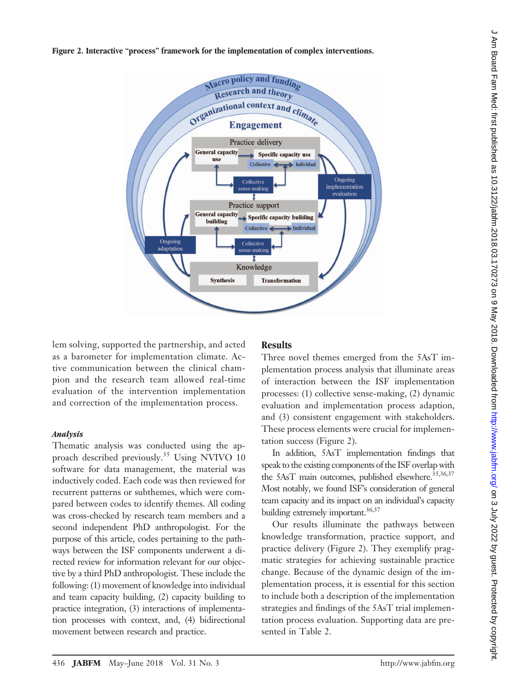**Figure 2. Interactive "process" framework for the implementation of complex interventions.**



lem solving, supported the partnership, and acted as a barometer for implementation climate. Active communication between the clinical champion and the research team allowed real-time evaluation of the intervention implementation and correction of the implementation process.

#### *Analysis*

Thematic analysis was conducted using the approach described previously.<sup>35</sup> Using NVIVO 10 software for data management, the material was inductively coded. Each code was then reviewed for recurrent patterns or subthemes, which were compared between codes to identify themes. All coding was cross-checked by research team members and a second independent PhD anthropologist. For the purpose of this article, codes pertaining to the pathways between the ISF components underwent a directed review for information relevant for our objective by a third PhD anthropologist. These include the following: (1) movement of knowledge into individual and team capacity building, (2) capacity building to practice integration, (3) interactions of implementation processes with context, and, (4) bidirectional movement between research and practice.

# **Results**

Three novel themes emerged from the 5AsT implementation process analysis that illuminate areas of interaction between the ISF implementation processes: (1) collective sense-making, (2) dynamic evaluation and implementation process adaption, and (3) consistent engagement with stakeholders. These process elements were crucial for implementation success (Figure 2).

In addition, 5AsT implementation findings that speak to the existing components of the ISF overlap with the 5AsT main outcomes, published elsewhere.<sup>35,36,37</sup> Most notably, we found ISF's consideration of general team capacity and its impact on an individual's capacity building extremely important.<sup>36,37</sup>

Our results illuminate the pathways between knowledge transformation, practice support, and practice delivery (Figure 2). They exemplify pragmatic strategies for achieving sustainable practice change. Because of the dynamic design of the implementation process, it is essential for this section to include both a description of the implementation strategies and findings of the 5AsT trial implementation process evaluation. Supporting data are presented in Table 2.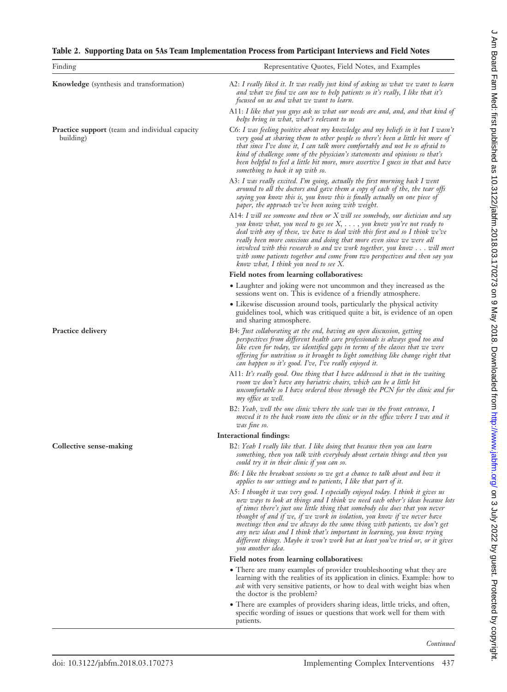## **Table 2. Supporting Data on 5As Team Implementation Process from Participant Interviews and Field Notes**

| Finding                                                            | Representative Quotes, Field Notes, and Examples                                                                                                                                                                                                                                                                                                                                                                                                                                                                                                                                               |  |
|--------------------------------------------------------------------|------------------------------------------------------------------------------------------------------------------------------------------------------------------------------------------------------------------------------------------------------------------------------------------------------------------------------------------------------------------------------------------------------------------------------------------------------------------------------------------------------------------------------------------------------------------------------------------------|--|
| <b>Knowledge</b> (synthesis and transformation)                    | A2: I really liked it. It was really just kind of asking us what we want to learn<br>and what we find we can use to help patients so it's really, I like that it's<br>focused on us and what we want to learn.                                                                                                                                                                                                                                                                                                                                                                                 |  |
|                                                                    | A11: I like that you guys ask us what our needs are and, and, and that kind of<br>helps bring in what, what's relevant to us                                                                                                                                                                                                                                                                                                                                                                                                                                                                   |  |
| <b>Practice support</b> (team and individual capacity<br>building) | C6: I was feeling positive about my knowledge and my beliefs in it but I wasn't<br>very good at sharing them to other people so there's been a little bit more of<br>that since I've done it, I can talk more comfortably and not be so afraid to<br>kind of challenge some of the physician's statements and opinions so that's<br>been helpful to feel a little bit more, more assertive I guess in that and have<br>something to back it up with so.                                                                                                                                        |  |
|                                                                    | A3: I was really excited. I'm going, actually the first morning back I went<br>around to all the doctors and gave them a copy of each of the, the tear offs<br>saying you know this is, you know this is finally actually on one piece of<br>paper, the approach we've been using with weight.                                                                                                                                                                                                                                                                                                 |  |
|                                                                    | A14: I will see someone and then or $X$ will see somebody, our dietician and say<br>you know what, you need to go see $X, \ldots,$ you know you're not ready to<br>deal with any of these, we have to deal with this first and so I think we've<br>really been more conscious and doing that more even since we were all<br>involved with this research so and we work together, you know will meet<br>with some patients together and come from two perspectives and then say you<br>know what, I think you need to see $X$ .                                                                 |  |
|                                                                    | Field notes from learning collaboratives:                                                                                                                                                                                                                                                                                                                                                                                                                                                                                                                                                      |  |
|                                                                    | • Laughter and joking were not uncommon and they increased as the<br>sessions went on. This is evidence of a friendly atmosphere.                                                                                                                                                                                                                                                                                                                                                                                                                                                              |  |
|                                                                    | • Likewise discussion around tools, particularly the physical activity<br>guidelines tool, which was critiqued quite a bit, is evidence of an open<br>and sharing atmosphere.                                                                                                                                                                                                                                                                                                                                                                                                                  |  |
| <b>Practice delivery</b>                                           | B4: Just collaborating at the end, having an open discussion, getting<br>perspectives from different health care professionals is always good too and<br>like even for today, we identified gaps in terms of the classes that we were<br>offering for nutrition so it brought to light something like change right that<br>can happen so it's good. I've, I've really enjoyed it.                                                                                                                                                                                                              |  |
|                                                                    | A11: It's really good. One thing that I have addressed is that in the waiting<br>room we don't have any bariatric chairs, which can be a little bit<br>uncomfortable so I have ordered those through the PCN for the clinic and for<br>my office as well.                                                                                                                                                                                                                                                                                                                                      |  |
|                                                                    | B2: Yeah, well the one clinic where the scale was in the front entrance, I<br>moved it to the back room into the clinic or in the office where I was and it<br>was fine so.                                                                                                                                                                                                                                                                                                                                                                                                                    |  |
|                                                                    | Interactional findings:                                                                                                                                                                                                                                                                                                                                                                                                                                                                                                                                                                        |  |
| Collective sense-making                                            | B2: Yeah I really like that. I like doing that because then you can learn<br>something, then you talk with everybody about certain things and then you<br>could try it in their clinic if you can so.                                                                                                                                                                                                                                                                                                                                                                                          |  |
|                                                                    | B6: I like the breakout sessions so we get a chance to talk about and how it<br>applies to our settings and to patients, I like that part of it.                                                                                                                                                                                                                                                                                                                                                                                                                                               |  |
|                                                                    | A5: I thought it was very good. I especially enjoyed today. I think it gives us<br>new ways to look at things and I think we need each other's ideas because lots<br>of times there's just one little thing that somebody else does that you never<br>thought of and if we, if we work in isolation, you know if we never have<br>meetings then and we always do the same thing with patients, we don't get<br>any new ideas and I think that's important in learning, you know trying<br>different things. Maybe it won't work but at least you've tried or, or it gives<br>you another idea. |  |
|                                                                    | Field notes from learning collaboratives:                                                                                                                                                                                                                                                                                                                                                                                                                                                                                                                                                      |  |
|                                                                    | • There are many examples of provider troubleshooting what they are<br>learning with the realities of its application in clinics. Example: how to<br>ask with very sensitive patients, or how to deal with weight bias when<br>the doctor is the problem?                                                                                                                                                                                                                                                                                                                                      |  |
|                                                                    | • There are examples of providers sharing ideas, little tricks, and often,<br>specific wording of issues or questions that work well for them with<br>patients.                                                                                                                                                                                                                                                                                                                                                                                                                                |  |

J Am Board Fam Med: first published as 10.3122/jabfm.2018.03.170273 on 9 May 2018. Downloaded from http://www.jabfm.org/ on 3 July 2022 by guest. Protected by copyright. d Am Board Fam Med: first published as 10.312.0218 on 3 July 2018. Downloaded from May Jon 9 May 2018. Downloaded from 2018. Board By copyright. Protect by copyright. Protect by copyright.

*Continued*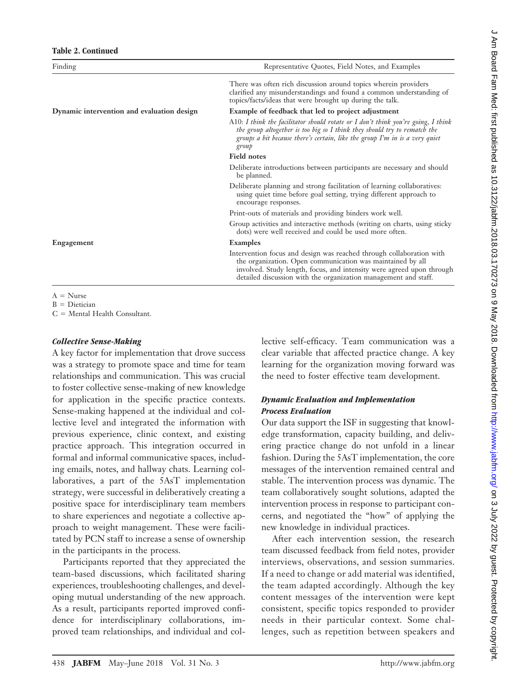| Finding                                    | Representative Quotes, Field Notes, and Examples                                                                                                                                                                                                                               |
|--------------------------------------------|--------------------------------------------------------------------------------------------------------------------------------------------------------------------------------------------------------------------------------------------------------------------------------|
|                                            | There was often rich discussion around topics wherein providers<br>clarified any misunderstandings and found a common understanding of<br>topics/facts/ideas that were brought up during the talk.                                                                             |
| Dynamic intervention and evaluation design | Example of feedback that led to project adjustment                                                                                                                                                                                                                             |
|                                            | A10: I think the facilitator should rotate or I don't think you're going, I think<br>the group altogether is too big so I think they should try to rematch the<br>groups a bit because there's certain, like the group I'm in is a very quiet<br>group                         |
|                                            | <b>Field notes</b>                                                                                                                                                                                                                                                             |
|                                            | Deliberate introductions between participants are necessary and should<br>be planned.                                                                                                                                                                                          |
|                                            | Deliberate planning and strong facilitation of learning collaboratives:<br>using quiet time before goal setting, trying different approach to<br>encourage responses.                                                                                                          |
|                                            | Print-outs of materials and providing binders work well.                                                                                                                                                                                                                       |
|                                            | Group activities and interactive methods (writing on charts, using sticky<br>dots) were well received and could be used more often.                                                                                                                                            |
| Engagement                                 | Examples                                                                                                                                                                                                                                                                       |
|                                            | Intervention focus and design was reached through collaboration with<br>the organization. Open communication was maintained by all<br>involved. Study length, focus, and intensity were agreed upon through<br>detailed discussion with the organization management and staff. |
|                                            |                                                                                                                                                                                                                                                                                |

 $A = Nurse$ 

 $B =$  Dietician  $C =$  Mental Health Consultant.

#### *Collective Sense-Making*

A key factor for implementation that drove success was a strategy to promote space and time for team relationships and communication. This was crucial to foster collective sense-making of new knowledge for application in the specific practice contexts. Sense-making happened at the individual and collective level and integrated the information with previous experience, clinic context, and existing practice approach. This integration occurred in formal and informal communicative spaces, including emails, notes, and hallway chats. Learning collaboratives, a part of the 5AsT implementation strategy, were successful in deliberatively creating a positive space for interdisciplinary team members to share experiences and negotiate a collective approach to weight management. These were facilitated by PCN staff to increase a sense of ownership in the participants in the process.

Participants reported that they appreciated the team-based discussions, which facilitated sharing experiences, troubleshooting challenges, and developing mutual understanding of the new approach. As a result, participants reported improved confidence for interdisciplinary collaborations, improved team relationships, and individual and collective self-efficacy. Team communication was a clear variable that affected practice change. A key learning for the organization moving forward was the need to foster effective team development.

## *Dynamic Evaluation and Implementation Process Evaluation*

Our data support the ISF in suggesting that knowledge transformation, capacity building, and delivering practice change do not unfold in a linear fashion. During the 5AsT implementation, the core messages of the intervention remained central and stable. The intervention process was dynamic. The team collaboratively sought solutions, adapted the intervention process in response to participant concerns, and negotiated the "how" of applying the new knowledge in individual practices.

After each intervention session, the research team discussed feedback from field notes, provider interviews, observations, and session summaries. If a need to change or add material was identified, the team adapted accordingly. Although the key content messages of the intervention were kept consistent, specific topics responded to provider needs in their particular context. Some challenges, such as repetition between speakers and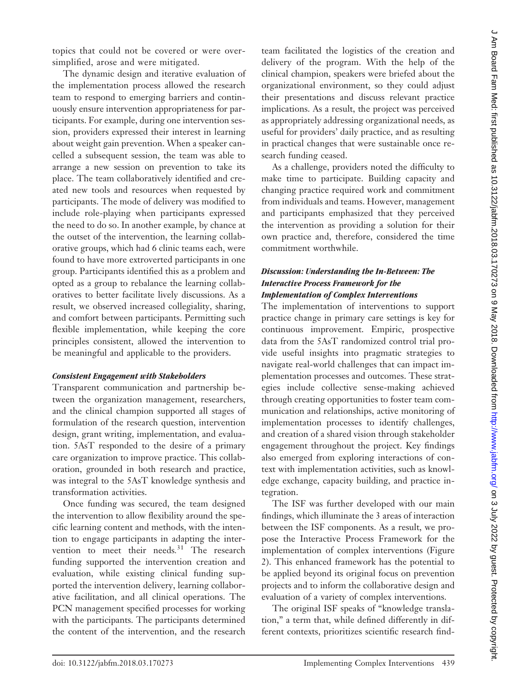topics that could not be covered or were oversimplified, arose and were mitigated.

The dynamic design and iterative evaluation of the implementation process allowed the research team to respond to emerging barriers and continuously ensure intervention appropriateness for participants. For example, during one intervention session, providers expressed their interest in learning about weight gain prevention. When a speaker cancelled a subsequent session, the team was able to arrange a new session on prevention to take its place. The team collaboratively identified and created new tools and resources when requested by participants. The mode of delivery was modified to include role-playing when participants expressed the need to do so. In another example, by chance at the outset of the intervention, the learning collaborative groups, which had 6 clinic teams each, were found to have more extroverted participants in one group. Participants identified this as a problem and opted as a group to rebalance the learning collaboratives to better facilitate lively discussions. As a result, we observed increased collegiality, sharing, and comfort between participants. Permitting such flexible implementation, while keeping the core principles consistent, allowed the intervention to be meaningful and applicable to the providers.

#### *Consistent Engagement with Stakeholders*

Transparent communication and partnership between the organization management, researchers, and the clinical champion supported all stages of formulation of the research question, intervention design, grant writing, implementation, and evaluation. 5AsT responded to the desire of a primary care organization to improve practice. This collaboration, grounded in both research and practice, was integral to the 5AsT knowledge synthesis and transformation activities.

Once funding was secured, the team designed the intervention to allow flexibility around the specific learning content and methods, with the intention to engage participants in adapting the intervention to meet their needs*.* <sup>31</sup> The research funding supported the intervention creation and evaluation, while existing clinical funding supported the intervention delivery, learning collaborative facilitation, and all clinical operations. The PCN management specified processes for working with the participants. The participants determined the content of the intervention, and the research

team facilitated the logistics of the creation and delivery of the program. With the help of the clinical champion, speakers were briefed about the organizational environment, so they could adjust their presentations and discuss relevant practice implications. As a result, the project was perceived as appropriately addressing organizational needs, as useful for providers' daily practice, and as resulting in practical changes that were sustainable once research funding ceased.

As a challenge, providers noted the difficulty to make time to participate. Building capacity and changing practice required work and commitment from individuals and teams. However, management and participants emphasized that they perceived the intervention as providing a solution for their own practice and, therefore, considered the time commitment worthwhile.

## *Discussion: Understanding the In-Between: The Interactive Process Framework for the Implementation of Complex Interventions*

The implementation of interventions to support practice change in primary care settings is key for continuous improvement. Empiric, prospective data from the 5AsT randomized control trial provide useful insights into pragmatic strategies to navigate real-world challenges that can impact implementation processes and outcomes. These strategies include collective sense-making achieved through creating opportunities to foster team communication and relationships, active monitoring of implementation processes to identify challenges, and creation of a shared vision through stakeholder engagement throughout the project. Key findings also emerged from exploring interactions of context with implementation activities, such as knowledge exchange, capacity building, and practice integration.

The ISF was further developed with our main findings, which illuminate the 3 areas of interaction between the ISF components. As a result, we propose the Interactive Process Framework for the implementation of complex interventions (Figure 2). This enhanced framework has the potential to be applied beyond its original focus on prevention projects and to inform the collaborative design and evaluation of a variety of complex interventions.

The original ISF speaks of "knowledge translation," a term that, while defined differently in different contexts, prioritizes scientific research find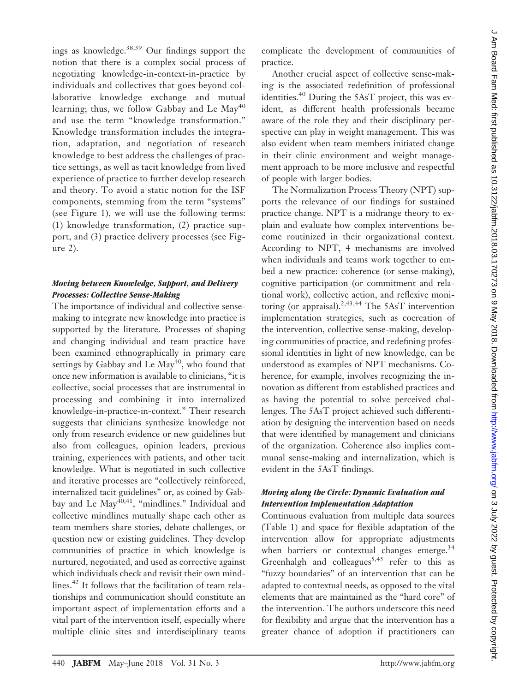ings as knowledge.38,39 Our findings support the notion that there is a complex social process of negotiating knowledge-in-context-in-practice by individuals and collectives that goes beyond collaborative knowledge exchange and mutual learning; thus, we follow Gabbay and Le  $May<sup>40</sup>$ and use the term "knowledge transformation." Knowledge transformation includes the integration, adaptation, and negotiation of research knowledge to best address the challenges of practice settings, as well as tacit knowledge from lived experience of practice to further develop research and theory. To avoid a static notion for the ISF components, stemming from the term "systems" (see Figure 1), we will use the following terms: (1) knowledge transformation, (2) practice support, and (3) practice delivery processes (see Figure 2).

## *Moving between Knowledge, Support, and Delivery Processes: Collective Sense-Making*

The importance of individual and collective sensemaking to integrate new knowledge into practice is supported by the literature. Processes of shaping and changing individual and team practice have been examined ethnographically in primary care settings by Gabbay and Le May<sup>40</sup>, who found that once new information is available to clinicians, "it is collective, social processes that are instrumental in processing and combining it into internalized knowledge-in-practice-in-context." Their research suggests that clinicians synthesize knowledge not only from research evidence or new guidelines but also from colleagues, opinion leaders, previous training, experiences with patients, and other tacit knowledge. What is negotiated in such collective and iterative processes are "collectively reinforced, internalized tacit guidelines" or, as coined by Gabbay and Le May<sup>40,41</sup>, "mindlines." Individual and collective mindlines mutually shape each other as team members share stories, debate challenges, or question new or existing guidelines. They develop communities of practice in which knowledge is nurtured, negotiated, and used as corrective against which individuals check and revisit their own mindlines.<sup>42</sup> It follows that the facilitation of team relationships and communication should constitute an important aspect of implementation efforts and a vital part of the intervention itself, especially where multiple clinic sites and interdisciplinary teams

complicate the development of communities of practice.

Another crucial aspect of collective sense-making is the associated redefinition of professional identities. $40$  During the 5AsT project, this was evident, as different health professionals became aware of the role they and their disciplinary perspective can play in weight management. This was also evident when team members initiated change in their clinic environment and weight management approach to be more inclusive and respectful of people with larger bodies.

The Normalization Process Theory (NPT) supports the relevance of our findings for sustained practice change. NPT is a midrange theory to explain and evaluate how complex interventions become routinized in their organizational context. According to NPT, 4 mechanisms are involved when individuals and teams work together to embed a new practice: coherence (or sense-making), cognitive participation (or commitment and relational work), collective action, and reflexive monitoring (or appraisal).<sup>2,43,44</sup> The 5AsT intervention implementation strategies, such as cocreation of the intervention, collective sense-making, developing communities of practice, and redefining professional identities in light of new knowledge, can be understood as examples of NPT mechanisms. Coherence, for example, involves recognizing the innovation as different from established practices and as having the potential to solve perceived challenges. The 5AsT project achieved such differentiation by designing the intervention based on needs that were identified by management and clinicians of the organization. Coherence also implies communal sense-making and internalization, which is evident in the 5AsT findings.

## *Moving along the Circle: Dynamic Evaluation and Intervention Implementation Adaptation*

Continuous evaluation from multiple data sources (Table 1) and space for flexible adaptation of the intervention allow for appropriate adjustments when barriers or contextual changes emerge.<sup>34</sup> Greenhalgh and colleagues<sup>5,45</sup> refer to this as "fuzzy boundaries" of an intervention that can be adapted to contextual needs, as opposed to the vital elements that are maintained as the "hard core" of the intervention. The authors underscore this need for flexibility and argue that the intervention has a greater chance of adoption if practitioners can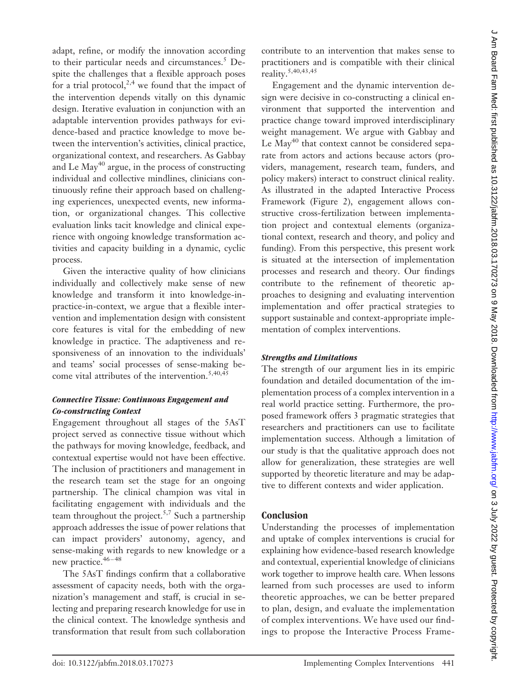adapt, refine, or modify the innovation according to their particular needs and circumstances. $5$  Despite the challenges that a flexible approach poses for a trial protocol,<sup>2,4</sup> we found that the impact of the intervention depends vitally on this dynamic design. Iterative evaluation in conjunction with an adaptable intervention provides pathways for evidence-based and practice knowledge to move between the intervention's activities, clinical practice, organizational context, and researchers. As Gabbay and Le May<sup>40</sup> argue, in the process of constructing individual and collective mindlines, clinicians continuously refine their approach based on challenging experiences, unexpected events, new information, or organizational changes. This collective evaluation links tacit knowledge and clinical experience with ongoing knowledge transformation activities and capacity building in a dynamic, cyclic process.

Given the interactive quality of how clinicians individually and collectively make sense of new knowledge and transform it into knowledge-inpractice-in-context, we argue that a flexible intervention and implementation design with consistent core features is vital for the embedding of new knowledge in practice. The adaptiveness and responsiveness of an innovation to the individuals' and teams' social processes of sense-making become vital attributes of the intervention.<sup>5,40,45</sup>

## *Connective Tissue: Continuous Engagement and Co-constructing Context*

Engagement throughout all stages of the 5AsT project served as connective tissue without which the pathways for moving knowledge, feedback, and contextual expertise would not have been effective. The inclusion of practitioners and management in the research team set the stage for an ongoing partnership. The clinical champion was vital in facilitating engagement with individuals and the team throughout the project.<sup>5,7</sup> Such a partnership approach addresses the issue of power relations that can impact providers' autonomy, agency, and sense-making with regards to new knowledge or a new practice.<sup>46-48</sup>

The 5AsT findings confirm that a collaborative assessment of capacity needs, both with the organization's management and staff, is crucial in selecting and preparing research knowledge for use in the clinical context. The knowledge synthesis and transformation that result from such collaboration

contribute to an intervention that makes sense to practitioners and is compatible with their clinical reality.5,40,43,45

Engagement and the dynamic intervention design were decisive in co-constructing a clinical environment that supported the intervention and practice change toward improved interdisciplinary weight management. We argue with Gabbay and Le  $May<sup>40</sup>$  that context cannot be considered separate from actors and actions because actors (providers, management, research team, funders, and policy makers) interact to construct clinical reality. As illustrated in the adapted Interactive Process Framework (Figure 2), engagement allows constructive cross-fertilization between implementation project and contextual elements (organizational context, research and theory, and policy and funding). From this perspective, this present work is situated at the intersection of implementation processes and research and theory. Our findings contribute to the refinement of theoretic approaches to designing and evaluating intervention implementation and offer practical strategies to support sustainable and context-appropriate implementation of complex interventions.

## *Strengths and Limitations*

The strength of our argument lies in its empiric foundation and detailed documentation of the implementation process of a complex intervention in a real world practice setting. Furthermore, the proposed framework offers 3 pragmatic strategies that researchers and practitioners can use to facilitate implementation success. Although a limitation of our study is that the qualitative approach does not allow for generalization, these strategies are well supported by theoretic literature and may be adaptive to different contexts and wider application.

# **Conclusion**

Understanding the processes of implementation and uptake of complex interventions is crucial for explaining how evidence-based research knowledge and contextual, experiential knowledge of clinicians work together to improve health care. When lessons learned from such processes are used to inform theoretic approaches, we can be better prepared to plan, design, and evaluate the implementation of complex interventions. We have used our findings to propose the Interactive Process Frame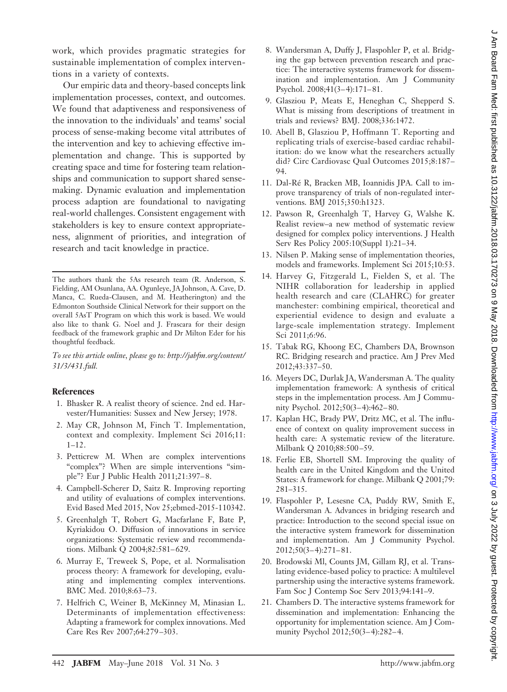work, which provides pragmatic strategies for sustainable implementation of complex interventions in a variety of contexts.

Our empiric data and theory-based concepts link implementation processes, context, and outcomes. We found that adaptiveness and responsiveness of the innovation to the individuals' and teams' social process of sense-making become vital attributes of the intervention and key to achieving effective implementation and change. This is supported by creating space and time for fostering team relationships and communication to support shared sensemaking. Dynamic evaluation and implementation process adaption are foundational to navigating real-world challenges. Consistent engagement with stakeholders is key to ensure context appropriateness, alignment of priorities, and integration of research and tacit knowledge in practice.

The authors thank the 5As research team (R. Anderson, S. Fielding, AM Osunlana, AA. Ogunleye, JA Johnson, A. Cave, D. Manca, C. Rueda-Clausen, and M. Heatherington) and the Edmonton Southside Clinical Network for their support on the overall 5AsT Program on which this work is based. We would also like to thank G. Noel and J. Frascara for their design feedback of the framework graphic and Dr Milton Eder for his thoughtful feedback.

*To see this article online, please go to: [http://jabfm.org/content/](http://jabfm.org/content/31/3/431.full) [31/3/431.full.](http://jabfm.org/content/31/3/431.full)*

#### **References**

- 1. Bhasker R. A realist theory of science. 2nd ed. Harvester/Humanities: Sussex and New Jersey; 1978.
- 2. May CR, Johnson M, Finch T. Implementation, context and complexity. Implement Sci 2016;11: 1–12.
- 3. Petticrew M. When are complex interventions "complex"? When are simple interventions "simple"? Eur J Public Health 2011;21:397– 8.
- 4. Campbell-Scherer D, Saitz R. Improving reporting and utility of evaluations of complex interventions. Evid Based Med 2015, Nov 25;ebmed-2015-110342.
- 5. Greenhalgh T, Robert G, Macfarlane F, Bate P, Kyriakidou O. Diffusion of innovations in service organizations: Systematic review and recommendations. Milbank Q 2004;82:581-629.
- 6. Murray E, Treweek S, Pope, et al. Normalisation process theory: A framework for developing, evaluating and implementing complex interventions. BMC Med. 2010;8:63–73.
- 7. Helfrich C, Weiner B, McKinney M, Minasian L. Determinants of implementation effectiveness: Adapting a framework for complex innovations. Med Care Res Rev 2007;64:279 –303.
- 8. Wandersman A, Duffy J, Flaspohler P, et al. Bridging the gap between prevention research and practice: The interactive systems framework for dissemination and implementation. Am J Community Psychol. 2008;41(3-4):171-81.
- 9. Glasziou P, Meats E, Heneghan C, Shepperd S. What is missing from descriptions of treatment in trials and reviews? BMJ. 2008;336:1472.
- 10. Abell B, Glasziou P, Hoffmann T. Reporting and replicating trials of exercise-based cardiac rehabilitation: do we know what the researchers actually did? Circ Cardiovasc Qual Outcomes 2015;8:187– 94.
- 11. Dal-Ré R, Bracken MB, Ioannidis JPA. Call to improve transparency of trials of non-regulated interventions. BMJ 2015;350:h1323.
- 12. Pawson R, Greenhalgh T, Harvey G, Walshe K. Realist review–a new method of systematic review designed for complex policy interventions. J Health Serv Res Policy 2005:10(Suppl 1):21–34.
- 13. Nilsen P. Making sense of implementation theories, models and frameworks. Implement Sci 2015;10:53.
- 14. Harvey G, Fitzgerald L, Fielden S, et al. The NIHR collaboration for leadership in applied health research and care (CLAHRC) for greater manchester: combining empirical, theoretical and experiential evidence to design and evaluate a large-scale implementation strategy. Implement Sci 2011;6:96.
- 15. Tabak RG, Khoong EC, Chambers DA, Brownson RC. Bridging research and practice. Am J Prev Med 2012;43:337–50.
- 16. Meyers DC, Durlak JA, Wandersman A. The quality implementation framework: A synthesis of critical steps in the implementation process. Am J Community Psychol. 2012;50(3– 4):462– 80.
- 17. Kaplan HC, Brady PW, Dritz MC, et al. The influence of context on quality improvement success in health care: A systematic review of the literature. Milbank Q 2010;88:500 –59.
- 18. Ferlie EB, Shortell SM. Improving the quality of health care in the United Kingdom and the United States: A framework for change. Milbank Q 2001;79: 281–315.
- 19. Flaspohler P, Lesesne CA, Puddy RW, Smith E, Wandersman A. Advances in bridging research and practice: Introduction to the second special issue on the interactive system framework for dissemination and implementation. Am J Community Psychol. 2012;50(3– 4):271– 81.
- 20. Brodowski Ml, Counts JM, Gillam RJ, et al. Translating evidence-based policy to practice: A multilevel partnership using the interactive systems framework. Fam Soc J Contemp Soc Serv 2013;94:141–9.
- 21. Chambers D. The interactive systems framework for dissemination and implementation: Enhancing the opportunity for implementation science. Am J Community Psychol 2012;50(3-4):282-4.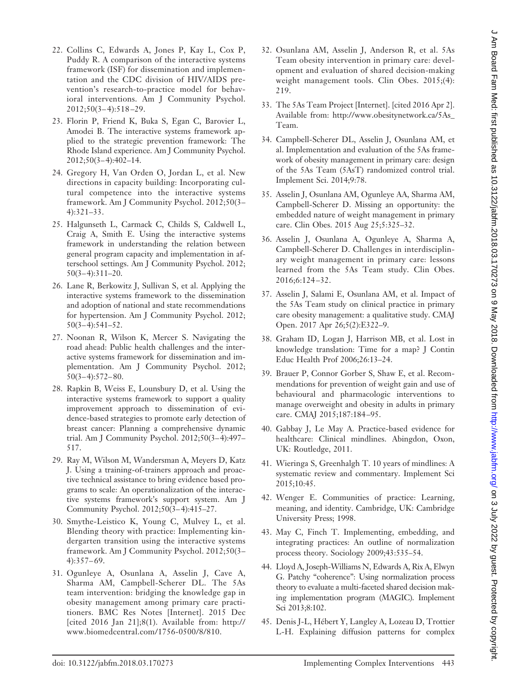- 22. Collins C, Edwards A, Jones P, Kay L, Cox P, Puddy R. A comparison of the interactive systems framework (ISF) for dissemination and implementation and the CDC division of HIV/AIDS prevention's research-to-practice model for behavioral interventions. Am J Community Psychol. 2012;50(3– 4):518 –29.
- 23. Florin P, Friend K, Buka S, Egan C, Barovier L, Amodei B. The interactive systems framework applied to the strategic prevention framework: The Rhode Island experience. Am J Community Psychol. 2012;50(3– 4):402–14.
- 24. Gregory H, Van Orden O, Jordan L, et al. New directions in capacity building: Incorporating cultural competence into the interactive systems framework. Am J Community Psychol. 2012;50(3– 4):321–33.
- 25. Halgunseth L, Carmack C, Childs S, Caldwell L, Craig A, Smith E. Using the interactive systems framework in understanding the relation between general program capacity and implementation in afterschool settings. Am J Community Psychol. 2012;  $50(3-4):311-20.$
- 26. Lane R, Berkowitz J, Sullivan S, et al. Applying the interactive systems framework to the dissemination and adoption of national and state recommendations for hypertension. Am J Community Psychol. 2012;  $50(3-4):541-52.$
- 27. Noonan R, Wilson K, Mercer S. Navigating the road ahead: Public health challenges and the interactive systems framework for dissemination and implementation. Am J Community Psychol. 2012;  $50(3-4):572-80.$
- 28. Rapkin B, Weiss E, Lounsbury D, et al. Using the interactive systems framework to support a quality improvement approach to dissemination of evidence-based strategies to promote early detection of breast cancer: Planning a comprehensive dynamic trial. Am J Community Psychol. 2012;50(3– 4):497– 517.
- 29. Ray M, Wilson M, Wandersman A, Meyers D, Katz J. Using a training-of-trainers approach and proactive technical assistance to bring evidence based programs to scale: An operationalization of the interactive systems framework's support system. Am J Community Psychol. 2012;50(3– 4):415–27.
- 30. Smythe-Leistico K, Young C, Mulvey L, et al. Blending theory with practice: Implementing kindergarten transition using the interactive systems framework. Am J Community Psychol. 2012;50(3–  $4):357-69.$
- 31. Ogunleye A, Osunlana A, Asselin J, Cave A, Sharma AM, Campbell-Scherer DL. The 5As team intervention: bridging the knowledge gap in obesity management among primary care practitioners. BMC Res Notes [Internet]. 2015 Dec [cited 2016 Jan 21];8(1). Available from: [http://](http://www.biomedcentral.com/1756-0500/8/810) [www.biomedcentral.com/1756-0500/8/810.](http://www.biomedcentral.com/1756-0500/8/810)
- 32. Osunlana AM, Asselin J, Anderson R, et al. 5As Team obesity intervention in primary care: development and evaluation of shared decision-making weight management tools. Clin Obes. 2015;(4): 219.
- 33. The 5As Team Project [Internet]. [cited 2016 Apr 2]. Available from: [http://www.obesitynetwork.ca/5As\\_](http://www.obesitynetwork.ca/5As_Team) [Team.](http://www.obesitynetwork.ca/5As_Team)
- 34. Campbell-Scherer DL, Asselin J, Osunlana AM, et al. Implementation and evaluation of the 5As framework of obesity management in primary care: design of the 5As Team (5AsT) randomized control trial. Implement Sci. 2014;9:78.
- 35. Asselin J, Osunlana AM, Ogunleye AA, Sharma AM, Campbell-Scherer D. Missing an opportunity: the embedded nature of weight management in primary care. Clin Obes. 2015 Aug 25;5:325–32.
- 36. Asselin J, Osunlana A, Ogunleye A, Sharma A, Campbell-Scherer D. Challenges in interdisciplinary weight management in primary care: lessons learned from the 5As Team study. Clin Obes. 2016;6:124 –32.
- 37. Asselin J, Salami E, Osunlana AM, et al. Impact of the 5As Team study on clinical practice in primary care obesity management: a qualitative study. CMAJ Open. 2017 Apr 26;5(2):E322–9.
- 38. Graham ID, Logan J, Harrison MB, et al. Lost in knowledge translation: Time for a map? J Contin Educ Health Prof 2006;26:13–24.
- 39. Brauer P, Connor Gorber S, Shaw E, et al. Recommendations for prevention of weight gain and use of behavioural and pharmacologic interventions to manage overweight and obesity in adults in primary care. CMAJ 2015;187:184 –95.
- 40. Gabbay J, Le May A. Practice-based evidence for healthcare: Clinical mindlines. Abingdon, Oxon, UK: Routledge, 2011.
- 41. Wieringa S, Greenhalgh T. 10 years of mindlines: A systematic review and commentary. Implement Sci 2015;10:45.
- 42. Wenger E. Communities of practice: Learning, meaning, and identity. Cambridge, UK: Cambridge University Press; 1998.
- 43. May C, Finch T. Implementing, embedding, and integrating practices: An outline of normalization process theory. Sociology 2009;43:535–54.
- 44. Lloyd A, Joseph-Williams N, Edwards A, Rix A, Elwyn G. Patchy "coherence": Using normalization process theory to evaluate a multi-faceted shared decision making implementation program (MAGIC). Implement Sci 2013;8:102.
- 45. Denis J-L, Hébert Y, Langley A, Lozeau D, Trottier L-H. Explaining diffusion patterns for complex